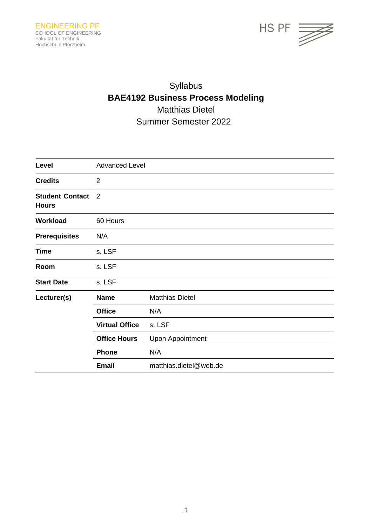

# Syllabus **BAE4192 Business Process Modeling** Matthias Dietel Summer Semester 2022

| Level                                  | <b>Advanced Level</b> |                         |
|----------------------------------------|-----------------------|-------------------------|
| <b>Credits</b>                         | $\overline{2}$        |                         |
| <b>Student Contact</b><br><b>Hours</b> | $\overline{2}$        |                         |
| Workload                               | 60 Hours              |                         |
| <b>Prerequisites</b>                   | N/A                   |                         |
| <b>Time</b>                            | s. LSF                |                         |
| Room                                   | s. LSF                |                         |
| <b>Start Date</b>                      | s. LSF                |                         |
| Lecturer(s)                            | <b>Name</b>           | <b>Matthias Dietel</b>  |
|                                        | <b>Office</b>         | N/A                     |
|                                        | <b>Virtual Office</b> | s. LSF                  |
|                                        | <b>Office Hours</b>   | <b>Upon Appointment</b> |
|                                        | <b>Phone</b>          | N/A                     |
|                                        | <b>Email</b>          | matthias.dietel@web.de  |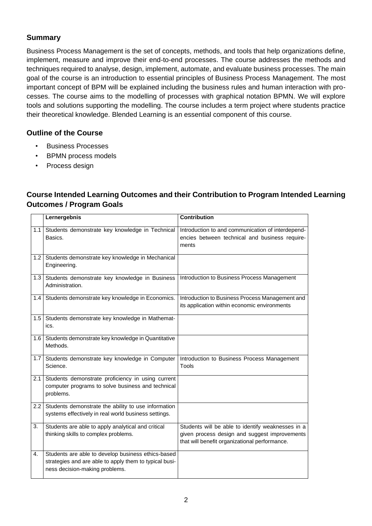## **Summary**

Business Process Management is the set of concepts, methods, and tools that help organizations define, implement, measure and improve their end-to-end processes. The course addresses the methods and techniques required to analyse, design, implement, automate, and evaluate business processes. The main goal of the course is an introduction to essential principles of Business Process Management. The most important concept of BPM will be explained including the business rules and human interaction with processes. The course aims to the modelling of processes with graphical notation BPMN. We will explore tools and solutions supporting the modelling. The course includes a term project where students practice their theoretical knowledge. Blended Learning is an essential component of this course.

## **Outline of the Course**

- Business Processes
- BPMN process models
- Process design

## **Course Intended Learning Outcomes and their Contribution to Program Intended Learning Outcomes / Program Goals**

|                  | Lernergebnis                                                                                                                                   | <b>Contribution</b>                                                                                                                                 |
|------------------|------------------------------------------------------------------------------------------------------------------------------------------------|-----------------------------------------------------------------------------------------------------------------------------------------------------|
|                  | 1.1 Students demonstrate key knowledge in Technical<br>Basics.                                                                                 | Introduction to and communication of interdepend-<br>encies between technical and business require-<br>ments                                        |
| 1.2              | Students demonstrate key knowledge in Mechanical<br>Engineering.                                                                               |                                                                                                                                                     |
|                  | 1.3 Students demonstrate key knowledge in Business<br>Administration.                                                                          | Introduction to Business Process Management                                                                                                         |
|                  | 1.4 Students demonstrate key knowledge in Economics.                                                                                           | Introduction to Business Process Management and<br>its application within economic environments                                                     |
| 1.5              | Students demonstrate key knowledge in Mathemat-<br>ics.                                                                                        |                                                                                                                                                     |
| 1.6              | Students demonstrate key knowledge in Quantitative<br>Methods.                                                                                 |                                                                                                                                                     |
| 1.7 <sub>1</sub> | Students demonstrate key knowledge in Computer<br>Science.                                                                                     | Introduction to Business Process Management<br><b>Tools</b>                                                                                         |
| 2.1              | Students demonstrate proficiency in using current<br>computer programs to solve business and technical<br>problems.                            |                                                                                                                                                     |
| 2.2              | Students demonstrate the ability to use information<br>systems effectively in real world business settings.                                    |                                                                                                                                                     |
| 3.               | Students are able to apply analytical and critical<br>thinking skills to complex problems.                                                     | Students will be able to identify weaknesses in a<br>given process design and suggest improvements<br>that will benefit organizational performance. |
| 4.               | Students are able to develop business ethics-based<br>strategies and are able to apply them to typical busi-<br>ness decision-making problems. |                                                                                                                                                     |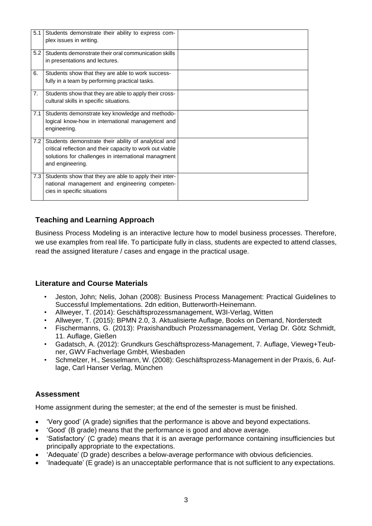| 5.1 | Students demonstrate their ability to express com-<br>plex issues in writing.                                                                                                                |  |
|-----|----------------------------------------------------------------------------------------------------------------------------------------------------------------------------------------------|--|
| 5.2 | Students demonstrate their oral communication skills<br>in presentations and lectures.                                                                                                       |  |
| 6.  | Students show that they are able to work success-<br>fully in a team by performing practical tasks.                                                                                          |  |
| 7.  | Students show that they are able to apply their cross-<br>cultural skills in specific situations.                                                                                            |  |
| 7.1 | Students demonstrate key knowledge and methodo-<br>logical know-how in international management and<br>engineering.                                                                          |  |
| 7.2 | Students demonstrate their ability of analytical and<br>critical reflection and their capacity to work out viable<br>solutions for challenges in international managment<br>and engineering. |  |
| 7.3 | Students show that they are able to apply their inter-<br>national management and engineering competen-<br>cies in specific situations                                                       |  |

## **Teaching and Learning Approach**

Business Process Modeling is an interactive lecture how to model business processes. Therefore, we use examples from real life. To participate fully in class, students are expected to attend classes, read the assigned literature / cases and engage in the practical usage.

## **Literature and Course Materials**

- Jeston, John; Nelis, Johan (2008): Business Process Management: Practical Guidelines to Successful Implementations. 2dn edition, Butterworth-Heinemann.
- Allweyer, T. (2014): Geschäftsprozessmanagement, W3I-Verlag, Witten
- Allweyer, T. (2015): BPMN 2.0, 3. Aktualisierte Auflage, Books on Demand, Norderstedt
- Fischermanns, G. (2013): Praxishandbuch Prozessmanagement, Verlag Dr. Götz Schmidt, 11. Auflage, Gießen
- Gadatsch, A. (2012): Grundkurs Geschäftsprozess-Management, 7. Auflage, Vieweg+Teubner, GWV Fachverlage GmbH, Wiesbaden
- Schmelzer, H., Sesselmann, W. (2008): Geschäftsprozess-Management in der Praxis, 6. Auflage, Carl Hanser Verlag, München

## **Assessment**

Home assignment during the semester; at the end of the semester is must be finished.

- 'Very good' (A grade) signifies that the performance is above and beyond expectations.
- 'Good' (B grade) means that the performance is good and above average.
- 'Satisfactory' (C grade) means that it is an average performance containing insufficiencies but principally appropriate to the expectations.
- 'Adequate' (D grade) describes a below-average performance with obvious deficiencies.
- 'Inadequate' (E grade) is an unacceptable performance that is not sufficient to any expectations.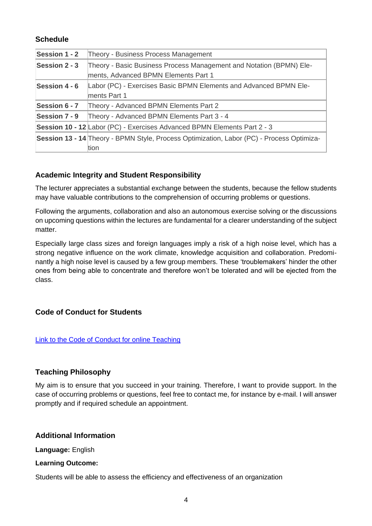## **Schedule**

| Session 1 - 2 | Theory - Business Process Management                                                                        |  |  |
|---------------|-------------------------------------------------------------------------------------------------------------|--|--|
| Session 2 - 3 | Theory - Basic Business Process Management and Notation (BPMN) Ele-<br>ments, Advanced BPMN Elements Part 1 |  |  |
| Session 4 - 6 | Labor (PC) - Exercises Basic BPMN Elements and Advanced BPMN Ele-<br>ments Part 1                           |  |  |
| Session 6 - 7 | Theory - Advanced BPMN Elements Part 2                                                                      |  |  |
| Session 7 - 9 | Theory - Advanced BPMN Elements Part 3 - 4                                                                  |  |  |
|               | <b>Session 10 - 12 Labor (PC) - Exercises Advanced BPMN Elements Part 2 - 3</b>                             |  |  |
|               | Session 13 - 14 Theory - BPMN Style, Process Optimization, Labor (PC) - Process Optimiza-<br>tion           |  |  |

## **Academic Integrity and Student Responsibility**

The lecturer appreciates a substantial exchange between the students, because the fellow students may have valuable contributions to the comprehension of occurring problems or questions.

Following the arguments, collaboration and also an autonomous exercise solving or the discussions on upcoming questions within the lectures are fundamental for a clearer understanding of the subject matter.

Especially large class sizes and foreign languages imply a risk of a high noise level, which has a strong negative influence on the work climate, knowledge acquisition and collaboration. Predominantly a high noise level is caused by a few group members. These 'troublemakers' hinder the other ones from being able to concentrate and therefore won't be tolerated and will be ejected from the class.

## **Code of Conduct for Students**

## Link to the Code of Conduct for online [Teaching](https://e-campus.hs-pforzheim.de/business_pf/digital_learning_tools_links)

## **Teaching Philosophy**

My aim is to ensure that you succeed in your training. Therefore, I want to provide support. In the case of occurring problems or questions, feel free to contact me, for instance by e-mail. I will answer promptly and if required schedule an appointment.

## **Additional Information**

**Language:** English

## **Learning Outcome:**

Students will be able to assess the efficiency and effectiveness of an organization